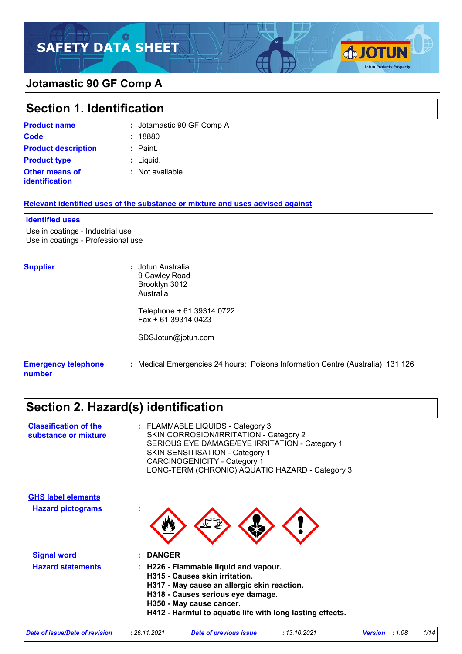# **SAFETY DATA SHEET**

### **Jotamastic 90 GF Comp A**

### Liquid. **: Product type Section 1. Identification Product name :** Jotamastic 90 GF Comp A **Code :** 18880 **Product description :** Paint.

**SJOTUN** 

**Jotun Protects Property** 

**Other means of identification**

**:** Not available.

#### **Relevant identified uses of the substance or mixture and uses advised against**

#### **Identified uses**

Use in coatings - Industrial use Use in coatings - Professional use

**Supplier :** Jotun Australia 9 Cawley Road Brooklyn 3012 Australia

> Telephone + 61 39314 0722 Fax + 61 39314 0423

SDSJotun@jotun.com

#### **Emergency telephone number :** Medical Emergencies 24 hours: Poisons Information Centre (Australia) 131 126

## **Section 2. Hazard(s) identification**

| : FLAMMABLE LIQUIDS - Category 3<br>SKIN CORROSION/IRRITATION - Category 2<br>SERIOUS EYE DAMAGE/EYE IRRITATION - Category 1<br><b>SKIN SENSITISATION - Category 1</b><br><b>CARCINOGENICITY - Category 1</b><br>LONG-TERM (CHRONIC) AQUATIC HAZARD - Category 3 |
|------------------------------------------------------------------------------------------------------------------------------------------------------------------------------------------------------------------------------------------------------------------|
|                                                                                                                                                                                                                                                                  |
| t                                                                                                                                                                                                                                                                |
| <b>DANGER</b>                                                                                                                                                                                                                                                    |
| H226 - Flammable liquid and vapour.<br>H315 - Causes skin irritation.<br>H317 - May cause an allergic skin reaction.<br>H318 - Causes serious eye damage.<br>H350 - May cause cancer.<br>H412 - Harmful to aquatic life with long lasting effects.               |
|                                                                                                                                                                                                                                                                  |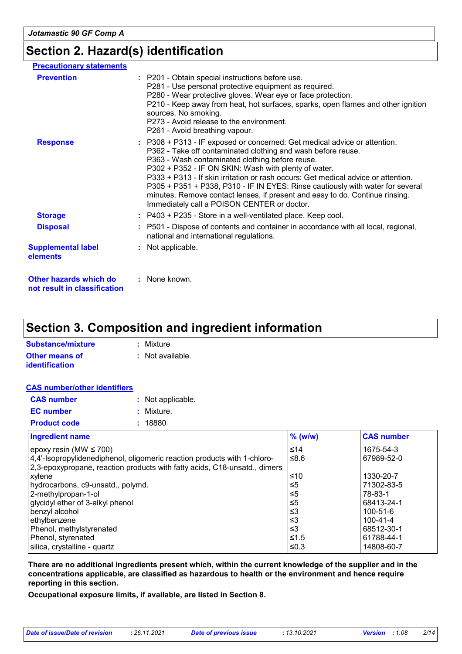## **Section 2. Hazard(s) identification**

| <b>Precautionary statements</b>                        |                                                                                                                                                                                                                                                                                                                                                                                                                                                                                                                                                            |
|--------------------------------------------------------|------------------------------------------------------------------------------------------------------------------------------------------------------------------------------------------------------------------------------------------------------------------------------------------------------------------------------------------------------------------------------------------------------------------------------------------------------------------------------------------------------------------------------------------------------------|
| <b>Prevention</b>                                      | : P201 - Obtain special instructions before use.<br>P281 - Use personal protective equipment as required.<br>P280 - Wear protective gloves. Wear eye or face protection.<br>P210 - Keep away from heat, hot surfaces, sparks, open flames and other ignition<br>sources. No smoking.<br>P273 - Avoid release to the environment.<br>P261 - Avoid breathing vapour.                                                                                                                                                                                         |
| <b>Response</b>                                        | : P308 + P313 - IF exposed or concerned: Get medical advice or attention.<br>P362 - Take off contaminated clothing and wash before reuse.<br>P363 - Wash contaminated clothing before reuse.<br>P302 + P352 - IF ON SKIN: Wash with plenty of water.<br>P333 + P313 - If skin irritation or rash occurs: Get medical advice or attention.<br>P305 + P351 + P338, P310 - IF IN EYES: Rinse cautiously with water for several<br>minutes. Remove contact lenses, if present and easy to do. Continue rinsing.<br>Immediately call a POISON CENTER or doctor. |
| <b>Storage</b>                                         | $:$ P403 + P235 - Store in a well-ventilated place. Keep cool.                                                                                                                                                                                                                                                                                                                                                                                                                                                                                             |
| <b>Disposal</b>                                        | : P501 - Dispose of contents and container in accordance with all local, regional,<br>national and international regulations.                                                                                                                                                                                                                                                                                                                                                                                                                              |
| <b>Supplemental label</b><br>elements                  | : Not applicable.                                                                                                                                                                                                                                                                                                                                                                                                                                                                                                                                          |
| Other hazards which do<br>not result in classification | : None known.                                                                                                                                                                                                                                                                                                                                                                                                                                                                                                                                              |

## **Section 3. Composition and ingredient information**

| Substance/mixture     | : Mixture                   |
|-----------------------|-----------------------------|
| Other means of        | $\therefore$ Not available. |
| <b>identification</b> |                             |

|--|--|

| <b>CAS</b> number   | : Not applicable. |
|---------------------|-------------------|
| <b>EC</b> number    | : Mixture.        |
| <b>Product code</b> | : 18880           |

| <b>Ingredient name</b>                                                    | $%$ (w/w) | <b>CAS number</b> |
|---------------------------------------------------------------------------|-----------|-------------------|
| epoxy resin (MW $\leq$ 700)                                               | ≤14       | 1675-54-3         |
| 4,4'-Isopropylidenediphenol, oligomeric reaction products with 1-chloro-  | ≤8.6      | 67989-52-0        |
| 2,3-epoxypropane, reaction products with fatty acids, C18-unsatd., dimers |           |                   |
| xylene                                                                    | ≤10       | 1330-20-7         |
| hydrocarbons, c9-unsatd., polymd.                                         | $\leq 5$  | 71302-83-5        |
| 2-methylpropan-1-ol                                                       | ≤5        | 78-83-1           |
| glycidyl ether of 3-alkyl phenol                                          | ≤5        | 68413-24-1        |
| benzyl alcohol                                                            | ≤3        | $100 - 51 - 6$    |
| ethylbenzene                                                              | ≤3        | 100-41-4          |
| Phenol, methylstyrenated                                                  | $\leq$ 3  | 68512-30-1        |
| Phenol, styrenated                                                        | ≤1.5      | 61788-44-1        |
| silica, crystalline - quartz                                              | ≤ $0.3$   | 14808-60-7        |

**There are no additional ingredients present which, within the current knowledge of the supplier and in the concentrations applicable, are classified as hazardous to health or the environment and hence require reporting in this section.**

**Occupational exposure limits, if available, are listed in Section 8.**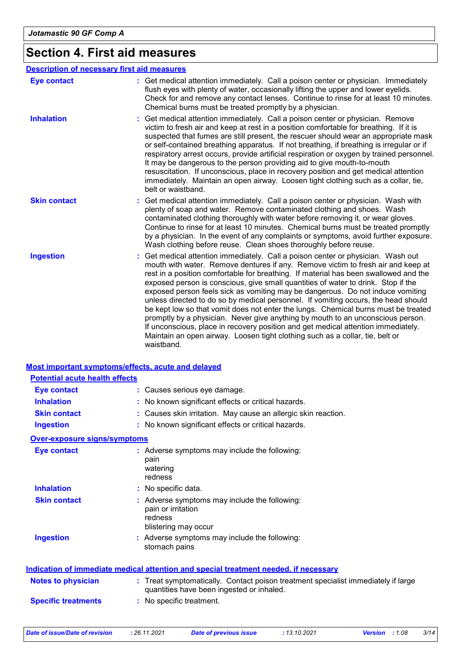## **Section 4. First aid measures**

| <b>Description of necessary first aid measures</b> |                                                                                                                                                                                                                                                                                                                                                                                                                                                                                                                                                                                                                                                                                                                                                                                                                                                                                      |
|----------------------------------------------------|--------------------------------------------------------------------------------------------------------------------------------------------------------------------------------------------------------------------------------------------------------------------------------------------------------------------------------------------------------------------------------------------------------------------------------------------------------------------------------------------------------------------------------------------------------------------------------------------------------------------------------------------------------------------------------------------------------------------------------------------------------------------------------------------------------------------------------------------------------------------------------------|
| <b>Eye contact</b>                                 | : Get medical attention immediately. Call a poison center or physician. Immediately<br>flush eyes with plenty of water, occasionally lifting the upper and lower eyelids.<br>Check for and remove any contact lenses. Continue to rinse for at least 10 minutes.<br>Chemical burns must be treated promptly by a physician.                                                                                                                                                                                                                                                                                                                                                                                                                                                                                                                                                          |
| <b>Inhalation</b>                                  | Get medical attention immediately. Call a poison center or physician. Remove<br>victim to fresh air and keep at rest in a position comfortable for breathing. If it is<br>suspected that fumes are still present, the rescuer should wear an appropriate mask<br>or self-contained breathing apparatus. If not breathing, if breathing is irregular or if<br>respiratory arrest occurs, provide artificial respiration or oxygen by trained personnel.<br>It may be dangerous to the person providing aid to give mouth-to-mouth<br>resuscitation. If unconscious, place in recovery position and get medical attention<br>immediately. Maintain an open airway. Loosen tight clothing such as a collar, tie,<br>belt or waistband.                                                                                                                                                  |
| <b>Skin contact</b>                                | : Get medical attention immediately. Call a poison center or physician. Wash with<br>plenty of soap and water. Remove contaminated clothing and shoes. Wash<br>contaminated clothing thoroughly with water before removing it, or wear gloves.<br>Continue to rinse for at least 10 minutes. Chemical burns must be treated promptly<br>by a physician. In the event of any complaints or symptoms, avoid further exposure.<br>Wash clothing before reuse. Clean shoes thoroughly before reuse.                                                                                                                                                                                                                                                                                                                                                                                      |
| <b>Ingestion</b>                                   | Get medical attention immediately. Call a poison center or physician. Wash out<br>mouth with water. Remove dentures if any. Remove victim to fresh air and keep at<br>rest in a position comfortable for breathing. If material has been swallowed and the<br>exposed person is conscious, give small quantities of water to drink. Stop if the<br>exposed person feels sick as vomiting may be dangerous. Do not induce vomiting<br>unless directed to do so by medical personnel. If vomiting occurs, the head should<br>be kept low so that vomit does not enter the lungs. Chemical burns must be treated<br>promptly by a physician. Never give anything by mouth to an unconscious person.<br>If unconscious, place in recovery position and get medical attention immediately.<br>Maintain an open airway. Loosen tight clothing such as a collar, tie, belt or<br>waistband. |

#### **Most important symptoms/effects, acute and delayed**

| <b>Potential acute health effects</b> |                                                                                                                                |
|---------------------------------------|--------------------------------------------------------------------------------------------------------------------------------|
| <b>Eye contact</b>                    | : Causes serious eye damage.                                                                                                   |
| <b>Inhalation</b>                     | : No known significant effects or critical hazards.                                                                            |
| <b>Skin contact</b>                   | : Causes skin irritation. May cause an allergic skin reaction.                                                                 |
| <b>Ingestion</b>                      | : No known significant effects or critical hazards.                                                                            |
| <b>Over-exposure signs/symptoms</b>   |                                                                                                                                |
| <b>Eye contact</b>                    | : Adverse symptoms may include the following:<br>pain<br>watering<br>redness                                                   |
| <b>Inhalation</b>                     | : No specific data.                                                                                                            |
| <b>Skin contact</b>                   | : Adverse symptoms may include the following:<br>pain or irritation<br>redness<br>blistering may occur                         |
| <b>Ingestion</b>                      | : Adverse symptoms may include the following:<br>stomach pains                                                                 |
|                                       | <b>Indication of immediate medical attention and special treatment needed, if necessary</b>                                    |
| <b>Notes to physician</b>             | : Treat symptomatically. Contact poison treatment specialist immediately if large<br>quantities have been ingested or inhaled. |
| <b>Specific treatments</b>            | : No specific treatment.                                                                                                       |

*Date of issue/Date of revision* **:** *26.11.2021 Date of previous issue : 13.10.2021 Version : 1.08 3/14*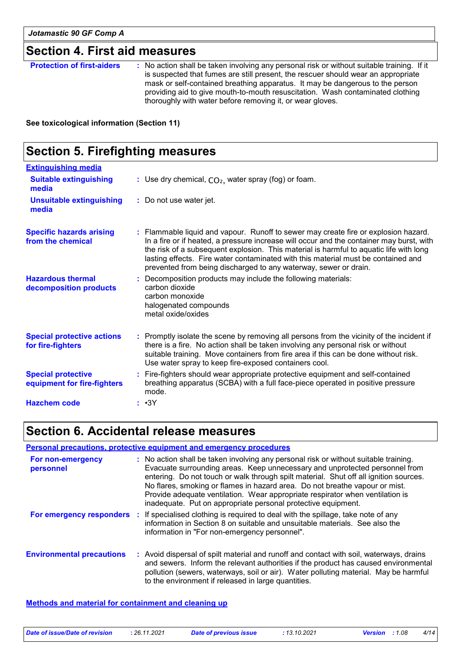## **Section 4. First aid measures**

| <b>Protection of first-aiders</b> | : No action shall be taken involving any personal risk or without suitable training. If it<br>is suspected that fumes are still present, the rescuer should wear an appropriate<br>mask or self-contained breathing apparatus. It may be dangerous to the person<br>providing aid to give mouth-to-mouth resuscitation. Wash contaminated clothing |
|-----------------------------------|----------------------------------------------------------------------------------------------------------------------------------------------------------------------------------------------------------------------------------------------------------------------------------------------------------------------------------------------------|
|                                   | thoroughly with water before removing it, or wear gloves.                                                                                                                                                                                                                                                                                          |

**See toxicological information (Section 11)**

## **Section 5. Firefighting measures**

| <b>Extinguishing media</b>                               |                                                                                                                                                                                                                                                                                                                                                                                                                                    |
|----------------------------------------------------------|------------------------------------------------------------------------------------------------------------------------------------------------------------------------------------------------------------------------------------------------------------------------------------------------------------------------------------------------------------------------------------------------------------------------------------|
| <b>Suitable extinguishing</b><br>media                   | : Use dry chemical, $CO2$ , water spray (fog) or foam.                                                                                                                                                                                                                                                                                                                                                                             |
| <b>Unsuitable extinguishing</b><br>media                 | : Do not use water jet.                                                                                                                                                                                                                                                                                                                                                                                                            |
| <b>Specific hazards arising</b><br>from the chemical     | : Flammable liquid and vapour. Runoff to sewer may create fire or explosion hazard.<br>In a fire or if heated, a pressure increase will occur and the container may burst, with<br>the risk of a subsequent explosion. This material is harmful to aquatic life with long<br>lasting effects. Fire water contaminated with this material must be contained and<br>prevented from being discharged to any waterway, sewer or drain. |
| <b>Hazardous thermal</b><br>decomposition products       | Decomposition products may include the following materials:<br>carbon dioxide<br>carbon monoxide<br>halogenated compounds<br>metal oxide/oxides                                                                                                                                                                                                                                                                                    |
| <b>Special protective actions</b><br>for fire-fighters   | : Promptly isolate the scene by removing all persons from the vicinity of the incident if<br>there is a fire. No action shall be taken involving any personal risk or without<br>suitable training. Move containers from fire area if this can be done without risk.<br>Use water spray to keep fire-exposed containers cool.                                                                                                      |
| <b>Special protective</b><br>equipment for fire-fighters | : Fire-fighters should wear appropriate protective equipment and self-contained<br>breathing apparatus (SCBA) with a full face-piece operated in positive pressure<br>mode.                                                                                                                                                                                                                                                        |
| <b>Hazchem code</b>                                      | : •3Y                                                                                                                                                                                                                                                                                                                                                                                                                              |

## **Section 6. Accidental release measures**

#### **Personal precautions, protective equipment and emergency procedures**

| For non-emergency<br>personnel   | : No action shall be taken involving any personal risk or without suitable training.<br>Evacuate surrounding areas. Keep unnecessary and unprotected personnel from<br>entering. Do not touch or walk through spilt material. Shut off all ignition sources.<br>No flares, smoking or flames in hazard area. Do not breathe vapour or mist.<br>Provide adequate ventilation. Wear appropriate respirator when ventilation is<br>inadequate. Put on appropriate personal protective equipment. |
|----------------------------------|-----------------------------------------------------------------------------------------------------------------------------------------------------------------------------------------------------------------------------------------------------------------------------------------------------------------------------------------------------------------------------------------------------------------------------------------------------------------------------------------------|
|                                  | For emergency responders : If specialised clothing is required to deal with the spillage, take note of any<br>information in Section 8 on suitable and unsuitable materials. See also the<br>information in "For non-emergency personnel".                                                                                                                                                                                                                                                    |
| <b>Environmental precautions</b> | : Avoid dispersal of spilt material and runoff and contact with soil, waterways, drains<br>and sewers. Inform the relevant authorities if the product has caused environmental<br>pollution (sewers, waterways, soil or air). Water polluting material. May be harmful<br>to the environment if released in large quantities.                                                                                                                                                                 |

**Methods and material for containment and cleaning up**

| Date of issue/Date of revision | : 26.11.2021 | <b>Date of previous issue</b> | : 13.10.2021 | <b>Version</b> : 1.08 | 4/14 |
|--------------------------------|--------------|-------------------------------|--------------|-----------------------|------|
|                                |              |                               |              |                       |      |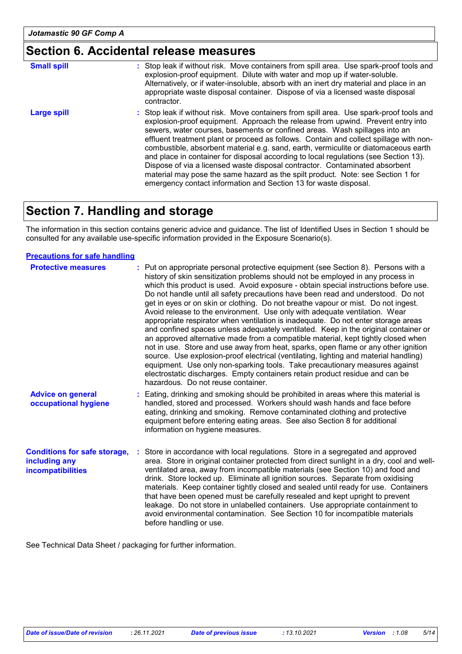## **Section 6. Accidental release measures**

| <b>Small spill</b> | : Stop leak if without risk. Move containers from spill area. Use spark-proof tools and<br>explosion-proof equipment. Dilute with water and mop up if water-soluble.<br>Alternatively, or if water-insoluble, absorb with an inert dry material and place in an<br>appropriate waste disposal container. Dispose of via a licensed waste disposal<br>contractor.                                                                                                                                                                                                                                                                                                                                                                                                        |
|--------------------|-------------------------------------------------------------------------------------------------------------------------------------------------------------------------------------------------------------------------------------------------------------------------------------------------------------------------------------------------------------------------------------------------------------------------------------------------------------------------------------------------------------------------------------------------------------------------------------------------------------------------------------------------------------------------------------------------------------------------------------------------------------------------|
| <b>Large spill</b> | : Stop leak if without risk. Move containers from spill area. Use spark-proof tools and<br>explosion-proof equipment. Approach the release from upwind. Prevent entry into<br>sewers, water courses, basements or confined areas. Wash spillages into an<br>effluent treatment plant or proceed as follows. Contain and collect spillage with non-<br>combustible, absorbent material e.g. sand, earth, vermiculite or diatomaceous earth<br>and place in container for disposal according to local regulations (see Section 13).<br>Dispose of via a licensed waste disposal contractor. Contaminated absorbent<br>material may pose the same hazard as the spilt product. Note: see Section 1 for<br>emergency contact information and Section 13 for waste disposal. |

## **Section 7. Handling and storage**

The information in this section contains generic advice and guidance. The list of Identified Uses in Section 1 should be consulted for any available use-specific information provided in the Exposure Scenario(s).

#### **Precautions for safe handling**

| <b>Protective measures</b>                                                       | : Put on appropriate personal protective equipment (see Section 8). Persons with a<br>history of skin sensitization problems should not be employed in any process in<br>which this product is used. Avoid exposure - obtain special instructions before use.<br>Do not handle until all safety precautions have been read and understood. Do not<br>get in eyes or on skin or clothing. Do not breathe vapour or mist. Do not ingest.<br>Avoid release to the environment. Use only with adequate ventilation. Wear<br>appropriate respirator when ventilation is inadequate. Do not enter storage areas<br>and confined spaces unless adequately ventilated. Keep in the original container or<br>an approved alternative made from a compatible material, kept tightly closed when<br>not in use. Store and use away from heat, sparks, open flame or any other ignition<br>source. Use explosion-proof electrical (ventilating, lighting and material handling)<br>equipment. Use only non-sparking tools. Take precautionary measures against<br>electrostatic discharges. Empty containers retain product residue and can be<br>hazardous. Do not reuse container. |
|----------------------------------------------------------------------------------|--------------------------------------------------------------------------------------------------------------------------------------------------------------------------------------------------------------------------------------------------------------------------------------------------------------------------------------------------------------------------------------------------------------------------------------------------------------------------------------------------------------------------------------------------------------------------------------------------------------------------------------------------------------------------------------------------------------------------------------------------------------------------------------------------------------------------------------------------------------------------------------------------------------------------------------------------------------------------------------------------------------------------------------------------------------------------------------------------------------------------------------------------------------------------|
| <b>Advice on general</b><br>occupational hygiene                                 | : Eating, drinking and smoking should be prohibited in areas where this material is<br>handled, stored and processed. Workers should wash hands and face before<br>eating, drinking and smoking. Remove contaminated clothing and protective<br>equipment before entering eating areas. See also Section 8 for additional<br>information on hygiene measures.                                                                                                                                                                                                                                                                                                                                                                                                                                                                                                                                                                                                                                                                                                                                                                                                            |
| <b>Conditions for safe storage,</b><br>including any<br><b>incompatibilities</b> | : Store in accordance with local regulations. Store in a segregated and approved<br>area. Store in original container protected from direct sunlight in a dry, cool and well-<br>ventilated area, away from incompatible materials (see Section 10) and food and<br>drink. Store locked up. Eliminate all ignition sources. Separate from oxidising<br>materials. Keep container tightly closed and sealed until ready for use. Containers<br>that have been opened must be carefully resealed and kept upright to prevent<br>leakage. Do not store in unlabelled containers. Use appropriate containment to<br>avoid environmental contamination. See Section 10 for incompatible materials<br>before handling or use.                                                                                                                                                                                                                                                                                                                                                                                                                                                  |

See Technical Data Sheet / packaging for further information.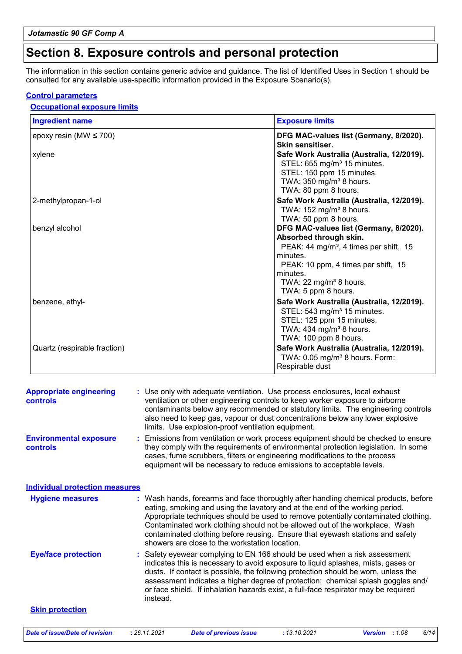## **Section 8. Exposure controls and personal protection**

The information in this section contains generic advice and guidance. The list of Identified Uses in Section 1 should be consulted for any available use-specific information provided in the Exposure Scenario(s).

#### **Control parameters**

#### **Occupational exposure limits**

| <b>Ingredient name</b>       | <b>Exposure limits</b>                                                                                                                                                                                                                             |
|------------------------------|----------------------------------------------------------------------------------------------------------------------------------------------------------------------------------------------------------------------------------------------------|
| epoxy resin (MW $\leq$ 700)  | DFG MAC-values list (Germany, 8/2020).<br>Skin sensitiser.                                                                                                                                                                                         |
| xylene                       | Safe Work Australia (Australia, 12/2019).<br>STEL: 655 mg/m <sup>3</sup> 15 minutes.<br>STEL: 150 ppm 15 minutes.<br>TWA: 350 mg/m <sup>3</sup> 8 hours.<br>TWA: 80 ppm 8 hours.                                                                   |
| 2-methylpropan-1-ol          | Safe Work Australia (Australia, 12/2019).<br>TWA: $152$ mg/m <sup>3</sup> 8 hours.<br>TWA: 50 ppm 8 hours.                                                                                                                                         |
| benzyl alcohol               | DFG MAC-values list (Germany, 8/2020).<br>Absorbed through skin.<br>PEAK: 44 mg/m <sup>3</sup> , 4 times per shift, 15<br>minutes.<br>PEAK: 10 ppm, 4 times per shift, 15<br>minutes.<br>TWA: 22 mg/m <sup>3</sup> 8 hours.<br>TWA: 5 ppm 8 hours. |
| benzene, ethyl-              | Safe Work Australia (Australia, 12/2019).<br>STEL: 543 mg/m <sup>3</sup> 15 minutes.<br>STEL: 125 ppm 15 minutes.<br>TWA: 434 mg/m <sup>3</sup> 8 hours.<br>TWA: 100 ppm 8 hours.                                                                  |
| Quartz (respirable fraction) | Safe Work Australia (Australia, 12/2019).<br>TWA: 0.05 mg/m <sup>3</sup> 8 hours. Form:<br>Respirable dust                                                                                                                                         |

| <b>Appropriate engineering</b><br><b>controls</b> | : Use only with adequate ventilation. Use process enclosures, local exhaust<br>ventilation or other engineering controls to keep worker exposure to airborne<br>contaminants below any recommended or statutory limits. The engineering controls<br>also need to keep gas, vapour or dust concentrations below any lower explosive<br>limits. Use explosion-proof ventilation equipment.                                                                                    |
|---------------------------------------------------|-----------------------------------------------------------------------------------------------------------------------------------------------------------------------------------------------------------------------------------------------------------------------------------------------------------------------------------------------------------------------------------------------------------------------------------------------------------------------------|
| <b>Environmental exposure</b><br>controls         | : Emissions from ventilation or work process equipment should be checked to ensure<br>they comply with the requirements of environmental protection legislation. In some<br>cases, fume scrubbers, filters or engineering modifications to the process<br>equipment will be necessary to reduce emissions to acceptable levels.                                                                                                                                             |
| <b>Individual protection measures</b>             |                                                                                                                                                                                                                                                                                                                                                                                                                                                                             |
| <b>Hygiene measures</b>                           | : Wash hands, forearms and face thoroughly after handling chemical products, before<br>eating, smoking and using the lavatory and at the end of the working period.<br>Appropriate techniques should be used to remove potentially contaminated clothing.<br>Contaminated work clothing should not be allowed out of the workplace. Wash<br>contaminated clothing before reusing. Ensure that eyewash stations and safety<br>showers are close to the workstation location. |
| <b>Eye/face protection</b>                        | : Safety eyewear complying to EN 166 should be used when a risk assessment<br>indicates this is necessary to avoid exposure to liquid splashes, mists, gases or<br>dusts. If contact is possible, the following protection should be worn, unless the<br>assessment indicates a higher degree of protection: chemical splash goggles and/<br>or face shield. If inhalation hazards exist, a full-face respirator may be required<br>instead.                                |
| <b>Skin protection</b>                            |                                                                                                                                                                                                                                                                                                                                                                                                                                                                             |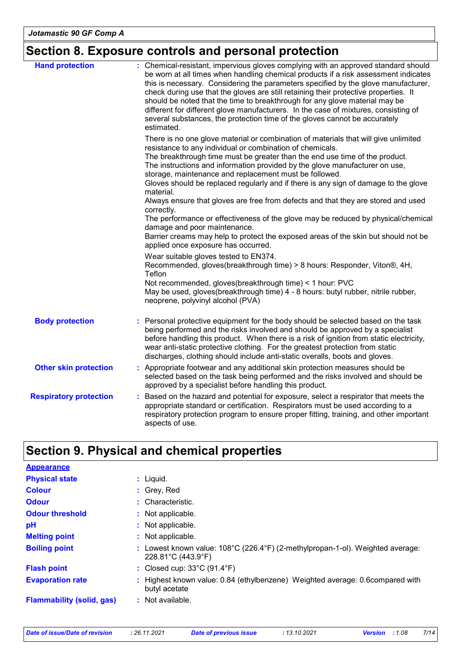## **Section 8. Exposure controls and personal protection**

| <b>Hand protection</b>        | : Chemical-resistant, impervious gloves complying with an approved standard should<br>be worn at all times when handling chemical products if a risk assessment indicates<br>this is necessary. Considering the parameters specified by the glove manufacturer,<br>check during use that the gloves are still retaining their protective properties. It<br>should be noted that the time to breakthrough for any glove material may be<br>different for different glove manufacturers. In the case of mixtures, consisting of<br>several substances, the protection time of the gloves cannot be accurately<br>estimated. |
|-------------------------------|---------------------------------------------------------------------------------------------------------------------------------------------------------------------------------------------------------------------------------------------------------------------------------------------------------------------------------------------------------------------------------------------------------------------------------------------------------------------------------------------------------------------------------------------------------------------------------------------------------------------------|
|                               | There is no one glove material or combination of materials that will give unlimited<br>resistance to any individual or combination of chemicals.<br>The breakthrough time must be greater than the end use time of the product.<br>The instructions and information provided by the glove manufacturer on use,<br>storage, maintenance and replacement must be followed.<br>Gloves should be replaced regularly and if there is any sign of damage to the glove<br>material.                                                                                                                                              |
|                               | Always ensure that gloves are free from defects and that they are stored and used<br>correctly.<br>The performance or effectiveness of the glove may be reduced by physical/chemical<br>damage and poor maintenance.<br>Barrier creams may help to protect the exposed areas of the skin but should not be                                                                                                                                                                                                                                                                                                                |
|                               | applied once exposure has occurred.<br>Wear suitable gloves tested to EN374.<br>Recommended, gloves(breakthrough time) > 8 hours: Responder, Viton®, 4H,<br>Teflon<br>Not recommended, gloves(breakthrough time) < 1 hour: PVC<br>May be used, gloves(breakthrough time) 4 - 8 hours: butyl rubber, nitrile rubber,<br>neoprene, polyvinyl alcohol (PVA)                                                                                                                                                                                                                                                                  |
| <b>Body protection</b>        | : Personal protective equipment for the body should be selected based on the task<br>being performed and the risks involved and should be approved by a specialist<br>before handling this product. When there is a risk of ignition from static electricity,<br>wear anti-static protective clothing. For the greatest protection from static<br>discharges, clothing should include anti-static overalls, boots and gloves.                                                                                                                                                                                             |
| <b>Other skin protection</b>  | : Appropriate footwear and any additional skin protection measures should be<br>selected based on the task being performed and the risks involved and should be<br>approved by a specialist before handling this product.                                                                                                                                                                                                                                                                                                                                                                                                 |
| <b>Respiratory protection</b> | : Based on the hazard and potential for exposure, select a respirator that meets the<br>appropriate standard or certification. Respirators must be used according to a<br>respiratory protection program to ensure proper fitting, training, and other important<br>aspects of use.                                                                                                                                                                                                                                                                                                                                       |

## **Section 9. Physical and chemical properties**

| <b>Appearance</b>                |                                                                                                                         |
|----------------------------------|-------------------------------------------------------------------------------------------------------------------------|
| <b>Physical state</b>            | : Liquid.                                                                                                               |
| <b>Colour</b>                    | : Grey, Red                                                                                                             |
| <b>Odour</b>                     | $:$ Characteristic.                                                                                                     |
| <b>Odour threshold</b>           | : Not applicable.                                                                                                       |
| рH                               | : Not applicable.                                                                                                       |
| <b>Melting point</b>             | : Not applicable.                                                                                                       |
| <b>Boiling point</b>             | Lowest known value: 108°C (226.4°F) (2-methylpropan-1-ol). Weighted average:<br>$228.81^{\circ}$ C (443.9 $^{\circ}$ F) |
| <b>Flash point</b>               | : Closed cup: $33^{\circ}$ C (91.4 $^{\circ}$ F)                                                                        |
| <b>Evaporation rate</b>          | Highest known value: 0.84 (ethylbenzene) Weighted average: 0.6 compared with<br>butyl acetate                           |
| <b>Flammability (solid, gas)</b> | $\therefore$ Not available.                                                                                             |

|  | Date of issue/Date of revision | : 26 |
|--|--------------------------------|------|
|  |                                |      |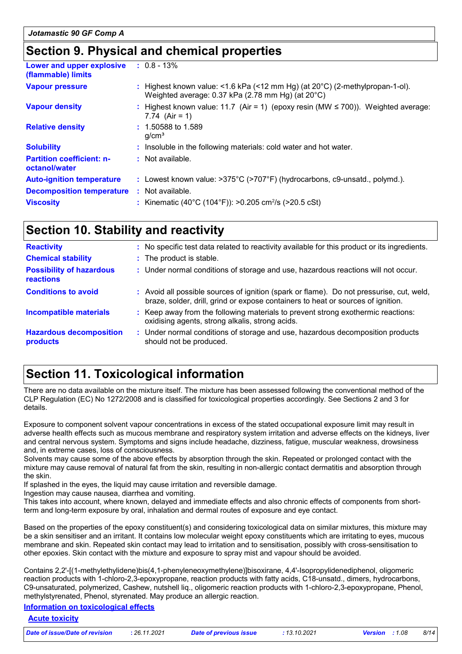## **Section 9. Physical and chemical properties**

| Lower and upper explosive<br>(flammable) limits   | $: 0.8 - 13\%$                                                                                                                              |
|---------------------------------------------------|---------------------------------------------------------------------------------------------------------------------------------------------|
| <b>Vapour pressure</b>                            | : Highest known value: <1.6 kPa (<12 mm Hg) (at $20^{\circ}$ C) (2-methylpropan-1-ol).<br>Weighted average: 0.37 kPa (2.78 mm Hg) (at 20°C) |
| <b>Vapour density</b>                             | : Highest known value: 11.7 (Air = 1) (epoxy resin (MW $\leq$ 700)). Weighted average:<br>7.74 $(Air = 1)$                                  |
| <b>Relative density</b>                           | $: 1.50588$ to 1.589<br>q/cm <sup>3</sup>                                                                                                   |
| <b>Solubility</b>                                 | : Insoluble in the following materials: cold water and hot water.                                                                           |
| <b>Partition coefficient: n-</b><br>octanol/water | : Not available.                                                                                                                            |
| <b>Auto-ignition temperature</b>                  | : Lowest known value: $>375^{\circ}$ C ( $>707^{\circ}$ F) (hydrocarbons, c9-unsatd., polymd.).                                             |
| <b>Decomposition temperature</b>                  | : Not available.                                                                                                                            |
| <b>Viscosity</b>                                  | : Kinematic (40°C (104°F)): >0.205 cm <sup>2</sup> /s (>20.5 cSt)                                                                           |
|                                                   |                                                                                                                                             |

## **Section 10. Stability and reactivity**

| <b>Reactivity</b>                            | : No specific test data related to reactivity available for this product or its ingredients.                                                                                 |  |  |
|----------------------------------------------|------------------------------------------------------------------------------------------------------------------------------------------------------------------------------|--|--|
| <b>Chemical stability</b>                    | : The product is stable.                                                                                                                                                     |  |  |
| <b>Possibility of hazardous</b><br>reactions | : Under normal conditions of storage and use, hazardous reactions will not occur.                                                                                            |  |  |
| <b>Conditions to avoid</b>                   | : Avoid all possible sources of ignition (spark or flame). Do not pressurise, cut, weld,<br>braze, solder, drill, grind or expose containers to heat or sources of ignition. |  |  |
| <b>Incompatible materials</b>                | : Keep away from the following materials to prevent strong exothermic reactions:<br>oxidising agents, strong alkalis, strong acids.                                          |  |  |
| <b>Hazardous decomposition</b><br>products   | : Under normal conditions of storage and use, hazardous decomposition products<br>should not be produced.                                                                    |  |  |

## **Section 11. Toxicological information**

There are no data available on the mixture itself. The mixture has been assessed following the conventional method of the CLP Regulation (EC) No 1272/2008 and is classified for toxicological properties accordingly. See Sections 2 and 3 for details.

Exposure to component solvent vapour concentrations in excess of the stated occupational exposure limit may result in adverse health effects such as mucous membrane and respiratory system irritation and adverse effects on the kidneys, liver and central nervous system. Symptoms and signs include headache, dizziness, fatigue, muscular weakness, drowsiness and, in extreme cases, loss of consciousness.

Solvents may cause some of the above effects by absorption through the skin. Repeated or prolonged contact with the mixture may cause removal of natural fat from the skin, resulting in non-allergic contact dermatitis and absorption through the skin.

If splashed in the eyes, the liquid may cause irritation and reversible damage.

Ingestion may cause nausea, diarrhea and vomiting.

This takes into account, where known, delayed and immediate effects and also chronic effects of components from shortterm and long-term exposure by oral, inhalation and dermal routes of exposure and eye contact.

Based on the properties of the epoxy constituent(s) and considering toxicological data on similar mixtures, this mixture may be a skin sensitiser and an irritant. It contains low molecular weight epoxy constituents which are irritating to eyes, mucous membrane and skin. Repeated skin contact may lead to irritation and to sensitisation, possibly with cross-sensitisation to other epoxies. Skin contact with the mixture and exposure to spray mist and vapour should be avoided.

Contains 2,2'-[(1-methylethylidene)bis(4,1-phenyleneoxymethylene)]bisoxirane, 4,4'-Isopropylidenediphenol, oligomeric reaction products with 1-chloro-2,3-epoxypropane, reaction products with fatty acids, C18-unsatd., dimers, hydrocarbons, C9-unsaturated, polymerized, Cashew, nutshell liq., oligomeric reaction products with 1-chloro-2,3-epoxypropane, Phenol, methylstyrenated, Phenol, styrenated. May produce an allergic reaction.

#### **Information on toxicological effects**

#### **Acute toxicity**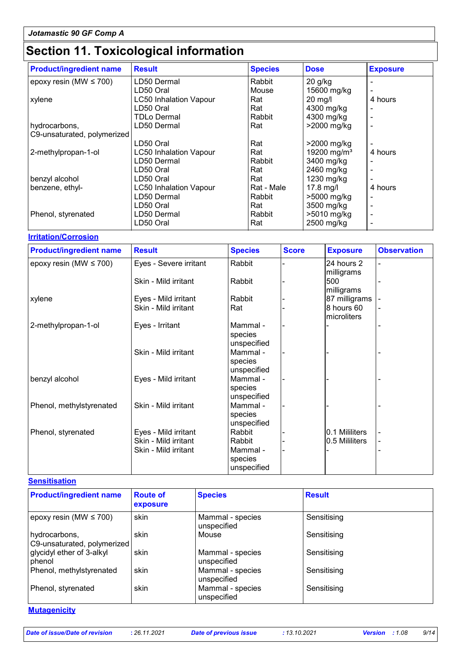## **Section 11. Toxicological information**

| <b>Product/ingredient name</b> | <b>Result</b>                 | <b>Species</b> | <b>Dose</b>             | <b>Exposure</b> |
|--------------------------------|-------------------------------|----------------|-------------------------|-----------------|
| epoxy resin (MW $\leq$ 700)    | LD50 Dermal                   | Rabbit         | $20$ g/kg               |                 |
|                                | LD50 Oral                     | Mouse          | 15600 mg/kg             |                 |
| xylene                         | <b>LC50 Inhalation Vapour</b> | Rat            | $20$ mg/l               | 4 hours         |
|                                | LD50 Oral                     | Rat            | 4300 mg/kg              |                 |
|                                | TDLo Dermal                   | Rabbit         | 4300 mg/kg              |                 |
| hydrocarbons,                  | LD50 Dermal                   | Rat            | >2000 mg/kg             |                 |
| C9-unsaturated, polymerized    |                               |                |                         |                 |
|                                | LD50 Oral                     | Rat            | $>2000$ mg/kg           |                 |
| 2-methylpropan-1-ol            | <b>LC50 Inhalation Vapour</b> | Rat            | 19200 mg/m <sup>3</sup> | 4 hours         |
|                                | LD50 Dermal                   | Rabbit         | 3400 mg/kg              |                 |
|                                | LD50 Oral                     | Rat            | 2460 mg/kg              |                 |
| benzyl alcohol                 | LD50 Oral                     | Rat            | 1230 mg/kg              |                 |
| benzene, ethyl-                | <b>LC50 Inhalation Vapour</b> | Rat - Male     | 17.8 mg/l               | 4 hours         |
|                                | LD50 Dermal                   | Rabbit         | >5000 mg/kg             |                 |
|                                | LD50 Oral                     | Rat            | 3500 mg/kg              |                 |
| Phenol, styrenated             | LD50 Dermal                   | Rabbit         | >5010 mg/kg             |                 |
|                                | LD50 Oral                     | Rat            | 2500 mg/kg              |                 |

#### **Irritation/Corrosion**

| <b>Product/ingredient name</b> | <b>Result</b>                                | <b>Species</b>                               | <b>Score</b> | <b>Exposure</b>                  | <b>Observation</b> |
|--------------------------------|----------------------------------------------|----------------------------------------------|--------------|----------------------------------|--------------------|
| epoxy resin (MW $\leq$ 700)    | Eyes - Severe irritant                       | Rabbit                                       |              | 24 hours 2<br>milligrams         |                    |
|                                | Skin - Mild irritant                         | Rabbit                                       |              | 500<br>milligrams                |                    |
| xylene                         | Eyes - Mild irritant                         | Rabbit                                       |              | 87 milligrams                    |                    |
|                                | Skin - Mild irritant                         | Rat                                          |              | 8 hours 60<br>microliters        |                    |
| 2-methylpropan-1-ol            | Eyes - Irritant                              | Mammal -<br>species<br>unspecified           |              |                                  |                    |
|                                | Skin - Mild irritant                         | Mammal -<br>species<br>unspecified           |              |                                  |                    |
| benzyl alcohol                 | Eyes - Mild irritant                         | Mammal -<br>species<br>unspecified           |              |                                  |                    |
| Phenol, methylstyrenated       | Skin - Mild irritant                         | Mammal -<br>species<br>unspecified           |              |                                  |                    |
| Phenol, styrenated             | Eyes - Mild irritant<br>Skin - Mild irritant | Rabbit                                       |              | 0.1 Mililiters<br>0.5 Mililiters |                    |
|                                | Skin - Mild irritant                         | Rabbit<br>Mammal -<br>species<br>unspecified |              |                                  |                    |

#### **Sensitisation**

| <b>Product/ingredient name</b>               | <b>Route of</b><br>exposure | <b>Species</b>                  | <b>Result</b> |
|----------------------------------------------|-----------------------------|---------------------------------|---------------|
| epoxy resin (MW $\leq$ 700)                  | skin                        | Mammal - species<br>unspecified | Sensitising   |
| hydrocarbons,<br>C9-unsaturated, polymerized | skin                        | Mouse                           | Sensitising   |
| glycidyl ether of 3-alkyl<br>phenol          | skin                        | Mammal - species<br>unspecified | Sensitising   |
| Phenol, methylstyrenated                     | skin                        | Mammal - species<br>unspecified | Sensitising   |
| Phenol, styrenated                           | skin                        | Mammal - species<br>unspecified | Sensitising   |

**Mutagenicity**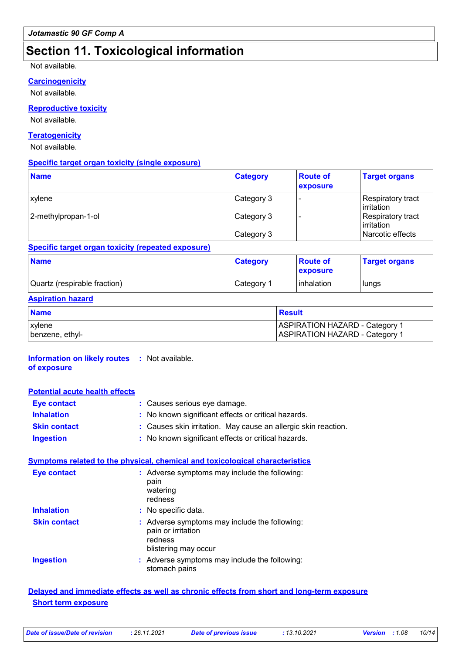## **Section 11. Toxicological information**

#### Not available.

#### **Carcinogenicity**

Not available.

#### **Reproductive toxicity**

Not available.

#### **Teratogenicity**

Not available.

#### **Specific target organ toxicity (single exposure)**

| <b>Name</b>         | <b>Category</b> | <b>Route of</b><br>exposure | <b>Target organs</b>            |
|---------------------|-----------------|-----------------------------|---------------------------------|
| xylene              | Category 3      |                             | Respiratory tract<br>irritation |
| 2-methylpropan-1-ol | Category 3      |                             | Respiratory tract<br>irritation |
|                     | Category 3      |                             | Narcotic effects                |

#### **Specific target organ toxicity (repeated exposure)**

| <b>Name</b>                  | <b>Category</b> | <b>Route of</b><br><b>exposure</b> | <b>Target organs</b> |
|------------------------------|-----------------|------------------------------------|----------------------|
| Quartz (respirable fraction) | Category 1      | Iinhalation                        | lungs                |

#### **Aspiration hazard**

| <b>Name</b>     | <b>Result</b>                         |
|-----------------|---------------------------------------|
| <b>xylene</b>   | <b>ASPIRATION HAZARD - Category 1</b> |
| benzene, ethyl- | <b>ASPIRATION HAZARD - Category 1</b> |

#### **Information on likely routes :** Not available. **of exposure**

| <b>Potential acute health effects</b> |                                                                |
|---------------------------------------|----------------------------------------------------------------|
| <b>Eye contact</b>                    | : Causes serious eye damage.                                   |
| <b>Inhalation</b>                     | : No known significant effects or critical hazards.            |
| <b>Skin contact</b>                   | : Causes skin irritation. May cause an allergic skin reaction. |
| <b>Ingestion</b>                      | : No known significant effects or critical hazards.            |

#### **Symptoms related to the physical, chemical and toxicological characteristics**

| <b>Eye contact</b>  | : Adverse symptoms may include the following:<br>pain<br>watering<br>redness                           |
|---------------------|--------------------------------------------------------------------------------------------------------|
| <b>Inhalation</b>   | : No specific data.                                                                                    |
| <b>Skin contact</b> | : Adverse symptoms may include the following:<br>pain or irritation<br>redness<br>blistering may occur |
| <b>Ingestion</b>    | : Adverse symptoms may include the following:<br>stomach pains                                         |

#### **Delayed and immediate effects as well as chronic effects from short and long-term exposure Short term exposure**

| Date of issue/Date of revision | : 26.11.2021 | <b>Date of previous issu</b> |
|--------------------------------|--------------|------------------------------|
|                                |              |                              |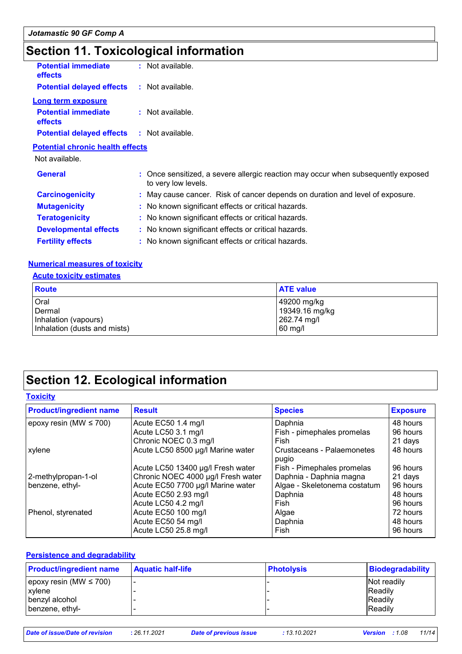## **Section 11. Toxicological information**

| <b>Potential immediate</b><br>effects   | $:$ Not available. |  |
|-----------------------------------------|--------------------|--|
| <b>Potential delayed effects</b>        | $:$ Not available. |  |
| <b>Long term exposure</b>               |                    |  |
| <b>Potential immediate</b><br>effects   | : Not available.   |  |
| <b>Potential delayed effects</b>        | : Not available.   |  |
| <b>Potential chronic health effects</b> |                    |  |

Not available.

| <b>General</b>               | : Once sensitized, a severe allergic reaction may occur when subsequently exposed<br>to very low levels. |
|------------------------------|----------------------------------------------------------------------------------------------------------|
| <b>Carcinogenicity</b>       | : May cause cancer. Risk of cancer depends on duration and level of exposure.                            |
| <b>Mutagenicity</b>          | : No known significant effects or critical hazards.                                                      |
| <b>Teratogenicity</b>        | : No known significant effects or critical hazards.                                                      |
| <b>Developmental effects</b> | : No known significant effects or critical hazards.                                                      |
| <b>Fertility effects</b>     | : No known significant effects or critical hazards.                                                      |

#### **Numerical measures of toxicity**

#### **Acute toxicity estimates**

| <b>Route</b>                 | <b>ATE value</b> |
|------------------------------|------------------|
| Oral                         | 49200 mg/kg      |
| Dermal                       | 19349.16 mg/kg   |
| Inhalation (vapours)         | 262.74 mg/l      |
| Inhalation (dusts and mists) | $60$ mg/l        |

## **Section 12. Ecological information**

#### **Toxicity**

| <b>Product/ingredient name</b> | <b>Result</b>                      | <b>Species</b>                      | <b>Exposure</b> |
|--------------------------------|------------------------------------|-------------------------------------|-----------------|
| epoxy resin (MW $\leq$ 700)    | Acute EC50 1.4 mg/l                | Daphnia                             | 48 hours        |
|                                | Acute LC50 3.1 mg/l                | Fish - pimephales promelas          | 96 hours        |
|                                | Chronic NOEC 0.3 mg/l              | Fish                                | 21 days         |
| xylene                         | Acute LC50 8500 µg/l Marine water  | Crustaceans - Palaemonetes<br>pugio | 48 hours        |
|                                | Acute LC50 13400 µg/l Fresh water  | Fish - Pimephales promelas          | 96 hours        |
| 2-methylpropan-1-ol            | Chronic NOEC 4000 µg/l Fresh water | Daphnia - Daphnia magna             | 21 days         |
| benzene, ethyl-                | Acute EC50 7700 µg/l Marine water  | Algae - Skeletonema costatum        | 96 hours        |
|                                | Acute EC50 2.93 mg/l               | Daphnia                             | 48 hours        |
|                                | Acute LC50 4.2 mg/l                | Fish                                | 96 hours        |
| Phenol, styrenated             | Acute EC50 100 mg/l                | Algae                               | 72 hours        |
|                                | Acute EC50 54 mg/l                 | Daphnia                             | 48 hours        |
|                                | Acute LC50 25.8 mg/l               | Fish                                | 96 hours        |

#### **Persistence and degradability**

| <b>Product/ingredient name</b> | <b>Aquatic half-life</b> | <b>Photolysis</b> | Biodegradability |
|--------------------------------|--------------------------|-------------------|------------------|
| epoxy resin (MW $\leq$ 700)    |                          |                   | Not readily      |
| <b>xylene</b>                  |                          |                   | <b>IReadily</b>  |
| benzyl alcohol                 |                          |                   | <b>Readily</b>   |
| benzene, ethyl-                |                          |                   | Readily          |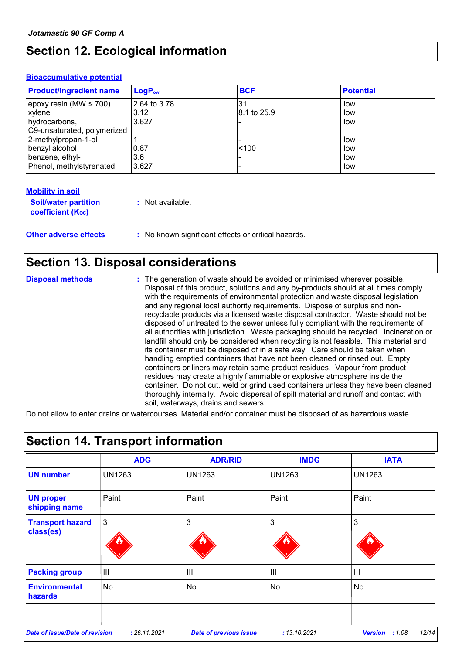## **Section 12. Ecological information**

#### **Bioaccumulative potential**

| <b>Product/ingredient name</b> | $LogP_{ow}$  | <b>BCF</b>  | <b>Potential</b> |
|--------------------------------|--------------|-------------|------------------|
| epoxy resin (MW $\leq$ 700)    | 2.64 to 3.78 | .31         | low              |
| <b>xylene</b>                  | 3.12         | 8.1 to 25.9 | low              |
| hydrocarbons,                  | 3.627        |             | low              |
| C9-unsaturated, polymerized    |              |             |                  |
| 2-methylpropan-1-ol            |              |             | low              |
| benzyl alcohol                 | 0.87         | < 100       | low              |
| benzene, ethyl-                | 3.6          |             | low              |
| Phenol, methylstyrenated       | 3.627        |             | low              |

| <b>Mobility in soil</b>                                       |                                                     |
|---------------------------------------------------------------|-----------------------------------------------------|
| <b>Soil/water partition</b><br>coefficient (K <sub>oc</sub> ) | : Not available.                                    |
| <b>Other adverse effects</b>                                  | : No known significant effects or critical hazards. |

### **Section 13. Disposal considerations**

**Disposal methods :**

The generation of waste should be avoided or minimised wherever possible. Disposal of this product, solutions and any by-products should at all times comply with the requirements of environmental protection and waste disposal legislation and any regional local authority requirements. Dispose of surplus and nonrecyclable products via a licensed waste disposal contractor. Waste should not be disposed of untreated to the sewer unless fully compliant with the requirements of all authorities with jurisdiction. Waste packaging should be recycled. Incineration or landfill should only be considered when recycling is not feasible. This material and its container must be disposed of in a safe way. Care should be taken when handling emptied containers that have not been cleaned or rinsed out. Empty containers or liners may retain some product residues. Vapour from product residues may create a highly flammable or explosive atmosphere inside the container. Do not cut, weld or grind used containers unless they have been cleaned thoroughly internally. Avoid dispersal of spilt material and runoff and contact with soil, waterways, drains and sewers.

Do not allow to enter drains or watercourses. Material and/or container must be disposed of as hazardous waste.

|                                       | <b>ADG</b>     | <b>ADR/RID</b>                | <b>IMDG</b>    | <b>IATA</b>             |
|---------------------------------------|----------------|-------------------------------|----------------|-------------------------|
| <b>UN number</b>                      | <b>UN1263</b>  | <b>UN1263</b>                 | <b>UN1263</b>  | <b>UN1263</b>           |
| <b>UN proper</b><br>shipping name     | Paint          | Paint                         | Paint          | Paint                   |
| <b>Transport hazard</b><br>class(es)  | $\overline{3}$ | 3                             | 3              | 3                       |
| <b>Packing group</b>                  | $\mathbf{III}$ | $\mathbf{III}$                | $\mathbf{III}$ | III                     |
| <b>Environmental</b><br>hazards       | No.            | No.                           | No.            | No.                     |
|                                       |                |                               |                |                         |
| <b>Date of issue/Date of revision</b> | : 26.11.2021   | <b>Date of previous issue</b> | : 13.10.2021   | <b>Version</b><br>:1.08 |

## **Section 14. Transport information**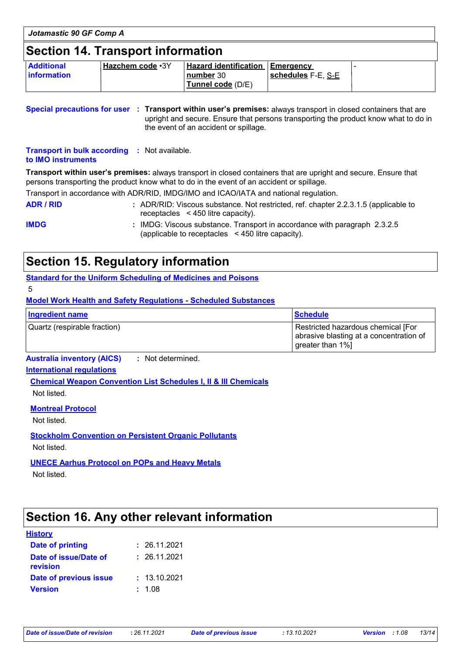| Jotamastic 90 GF Comp A                  |                           |                                                                          |                    |  |
|------------------------------------------|---------------------------|--------------------------------------------------------------------------|--------------------|--|
| <b>Section 14. Transport information</b> |                           |                                                                          |                    |  |
| <b>Additional</b><br><b>information</b>  | ' <u>Hazchem code</u> ∙3Y | <b>Hazard identification Emergency</b><br>number 30<br>Tunnel code (D/E) | schedules F-E, S-E |  |

**Special precautions for user Transport within user's premises:** always transport in closed containers that are **:** upright and secure. Ensure that persons transporting the product know what to do in the event of an accident or spillage.

**Transport in bulk according :** Not available. **to IMO instruments**

**Transport within user's premises:** always transport in closed containers that are upright and secure. Ensure that persons transporting the product know what to do in the event of an accident or spillage.

Transport in accordance with ADR/RID, IMDG/IMO and ICAO/IATA and national regulation.

**ADR / RID :** ADR/RID: Viscous substance. Not restricted, ref. chapter 2.2.3.1.5 (applicable to receptacles < 450 litre capacity).

**IMDG :** IMDG: Viscous substance. Transport in accordance with paragraph 2.3.2.5 (applicable to receptacles < 450 litre capacity).

### **Section 15. Regulatory information**

**Standard for the Uniform Scheduling of Medicines and Poisons**

5

**Model Work Health and Safety Regulations - Scheduled Substances**

| Ingredient name              | <b>Schedule</b>                                                                                   |
|------------------------------|---------------------------------------------------------------------------------------------------|
| Quartz (respirable fraction) | Restricted hazardous chemical [For<br>abrasive blasting at a concentration of<br>greater than 1%] |

**Australia inventory (AICS) :** Not determined.

### **International regulations**

**Chemical Weapon Convention List Schedules I, II & III Chemicals** Not listed.

**Montreal Protocol**

Not listed.

**Stockholm Convention on Persistent Organic Pollutants** Not listed.

**UNECE Aarhus Protocol on POPs and Heavy Metals**

Not listed.

### **Section 16. Any other relevant information**

#### **History**

| Date of printing                  | : 26.11.2021 |
|-----------------------------------|--------------|
| Date of issue/Date of<br>revision | : 26.11.2021 |
| Date of previous issue            | : 13.10.2021 |
| <b>Version</b>                    | : 1.08       |